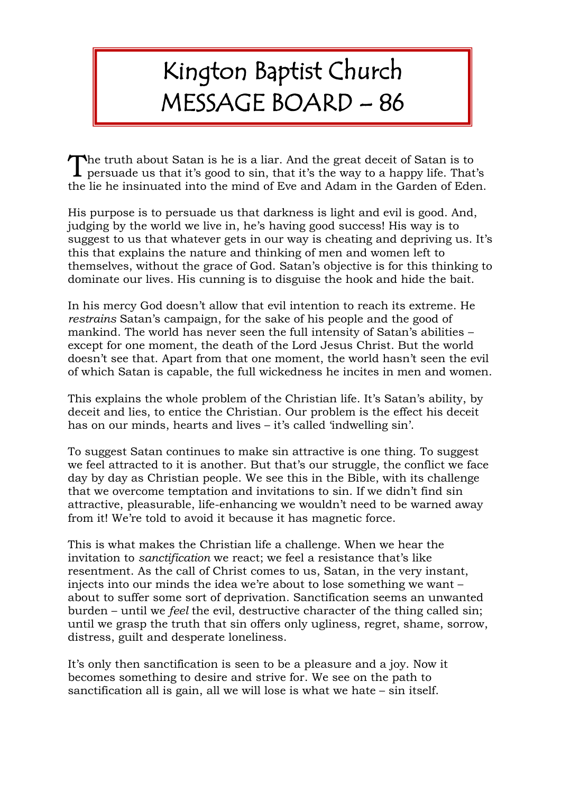## Kington Baptist Church MESSAGE BOARD – 86

he truth about Satan is he is a liar. And the great deceit of Satan is to The truth about Satan is he is a liar. And the great deceit of Satan is to persuade us that it's good to sin, that it's the way to a happy life. That's the lie he insinuated into the mind of Eve and Adam in the Garden of Eden.

His purpose is to persuade us that darkness is light and evil is good. And, judging by the world we live in, he's having good success! His way is to suggest to us that whatever gets in our way is cheating and depriving us. It's this that explains the nature and thinking of men and women left to themselves, without the grace of God. Satan's objective is for this thinking to dominate our lives. His cunning is to disguise the hook and hide the bait.

In his mercy God doesn't allow that evil intention to reach its extreme. He *restrains* Satan's campaign, for the sake of his people and the good of mankind. The world has never seen the full intensity of Satan's abilities – except for one moment, the death of the Lord Jesus Christ. But the world doesn't see that. Apart from that one moment, the world hasn't seen the evil of which Satan is capable, the full wickedness he incites in men and women.

This explains the whole problem of the Christian life. It's Satan's ability, by deceit and lies, to entice the Christian. Our problem is the effect his deceit has on our minds, hearts and lives – it's called 'indwelling sin'.

To suggest Satan continues to make sin attractive is one thing. To suggest we feel attracted to it is another. But that's our struggle, the conflict we face day by day as Christian people. We see this in the Bible, with its challenge that we overcome temptation and invitations to sin. If we didn't find sin attractive, pleasurable, life-enhancing we wouldn't need to be warned away from it! We're told to avoid it because it has magnetic force.

This is what makes the Christian life a challenge. When we hear the invitation to *sanctification* we react; we feel a resistance that's like resentment. As the call of Christ comes to us, Satan, in the very instant, injects into our minds the idea we're about to lose something we want – about to suffer some sort of deprivation. Sanctification seems an unwanted burden – until we *feel* the evil, destructive character of the thing called sin; until we grasp the truth that sin offers only ugliness, regret, shame, sorrow, distress, guilt and desperate loneliness.

It's only then sanctification is seen to be a pleasure and a joy. Now it becomes something to desire and strive for. We see on the path to sanctification all is gain, all we will lose is what we hate – sin itself.